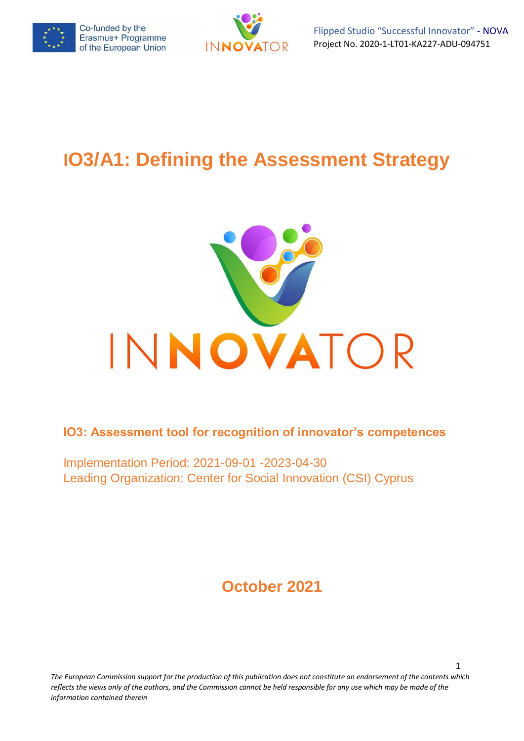



1

# **IO3/A1: Defining the Assessment Strategy**



**IO3: Assessment tool for recognition of innovator's competences**

Implementation Period: 2021-09-01 -2023-04-30 Leading Organization: Center for Social Innovation (CSI) Cyprus

## **October 2021**

*The European Commission support for the production of this publication does not constitute an endorsement of the contents which reflects the views only of the authors, and the Commission cannot be held responsible for any use which may be made of the information contained therein*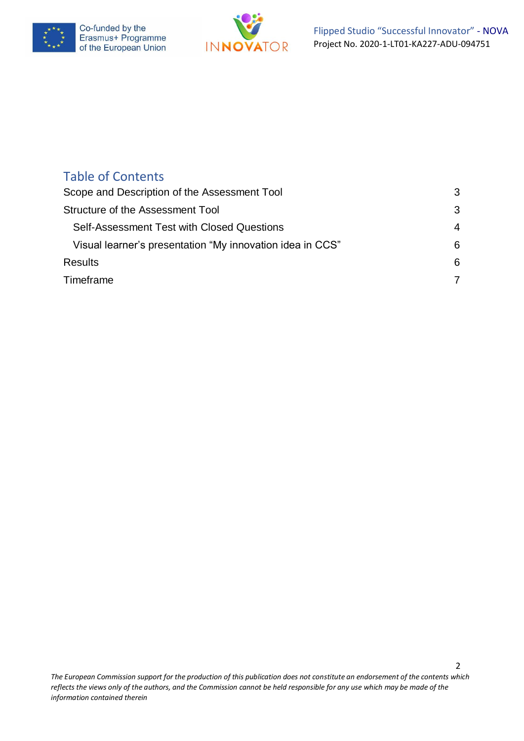



## Table of Contents

| Scope and Description of the Assessment Tool              |   |
|-----------------------------------------------------------|---|
| Structure of the Assessment Tool                          | 3 |
| Self-Assessment Test with Closed Questions                | 4 |
| Visual learner's presentation "My innovation idea in CCS" | 6 |
| <b>Results</b>                                            | 6 |
| Timeframe                                                 | 7 |

2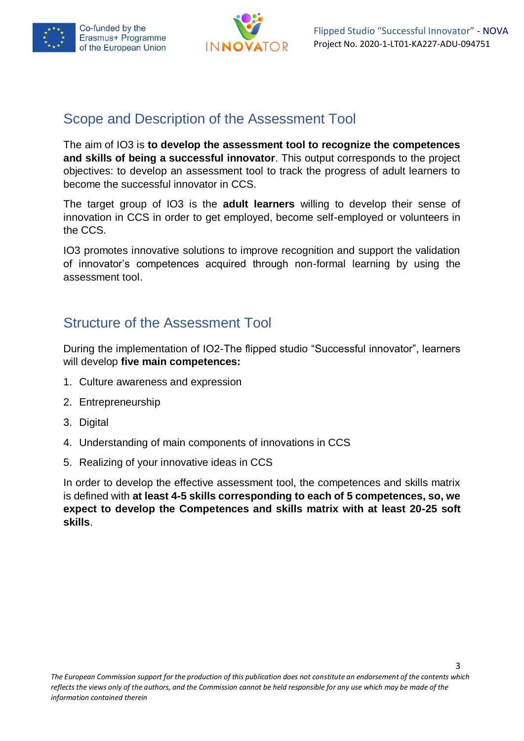



## <span id="page-2-0"></span>Scope and Description of the Assessment Tool

The aim of IO3 is **to develop the assessment tool to recognize the competences and skills of being a successful innovator**. This output corresponds to the project objectives: to develop an assessment tool to track the progress of adult learners to become the successful innovator in CCS.

The target group of IO3 is the **adult learners** willing to develop their sense of innovation in CCS in order to get employed, become self-employed or volunteers in the CCS.

IO3 promotes innovative solutions to improve recognition and support the validation of innovator's competences acquired through non-formal learning by using the assessment tool.

## <span id="page-2-1"></span>Structure of the Assessment Tool

During the implementation of IO2-The flipped studio "Successful innovator", learners will develop **five main competences:**

- 1. Culture awareness and expression
- 2. Entrepreneurship
- 3. Digital
- 4. Understanding of main components of innovations in CCS
- 5. Realizing of your innovative ideas in CCS

In order to develop the effective assessment tool, the competences and skills matrix is defined with **at least 4-5 skills corresponding to each of 5 competences, so, we expect to develop the Competences and skills matrix with at least 20-25 soft skills**.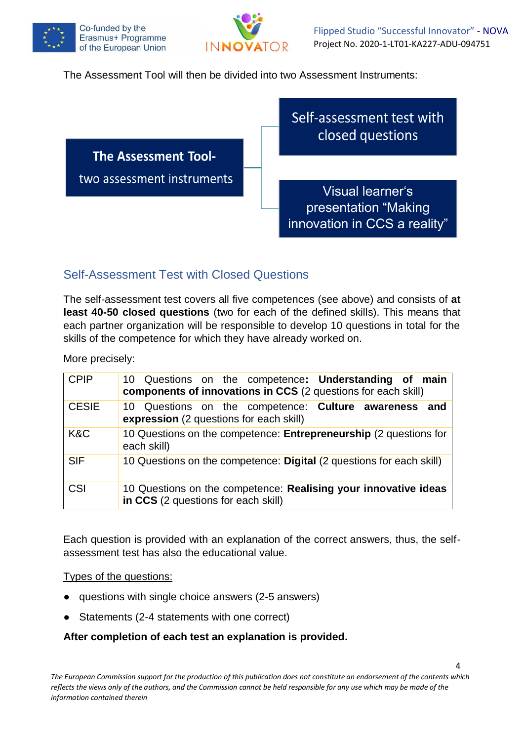



The Assessment Tool will then be divided into two Assessment Instruments:



### <span id="page-3-0"></span>Self-Assessment Test with Closed Questions

The self-assessment test covers all five competences (see above) and consists of **at least 40-50 closed questions** (two for each of the defined skills). This means that each partner organization will be responsible to develop 10 questions in total for the skills of the competence for which they have already worked on.

More precisely:

| <b>CPIP</b>  | 10 Questions on the competence: Understanding of main<br>components of innovations in CCS (2 questions for each skill) |
|--------------|------------------------------------------------------------------------------------------------------------------------|
| <b>CESIE</b> | 10 Questions on the competence: Culture awareness and<br>expression (2 questions for each skill)                       |
| K&C          | 10 Questions on the competence: Entrepreneurship (2 questions for<br>each skill)                                       |
| <b>SIF</b>   | 10 Questions on the competence: Digital (2 questions for each skill)                                                   |
| CSI          | 10 Questions on the competence: Realising your innovative ideas<br>in CCS (2 questions for each skill)                 |

Each question is provided with an explanation of the correct answers, thus, the selfassessment test has also the educational value.

Types of the questions:

- questions with single choice answers (2-5 answers)
- Statements (2-4 statements with one correct)

#### **After completion of each test an explanation is provided.**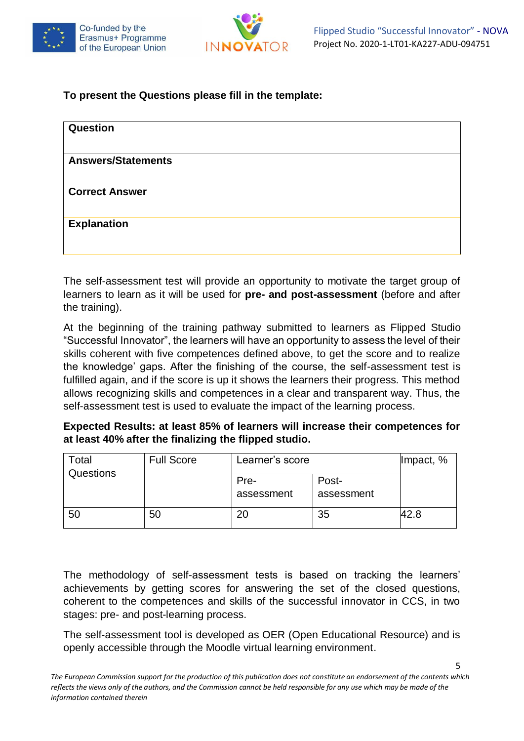



#### **To present the Questions please fill in the template:**

| <b>Question</b>           |  |
|---------------------------|--|
| <b>Answers/Statements</b> |  |
| <b>Correct Answer</b>     |  |
| <b>Explanation</b>        |  |
|                           |  |

The self-assessment test will provide an opportunity to motivate the target group of learners to learn as it will be used for **pre- and post-assessment** (before and after the training).

At the beginning of the training pathway submitted to learners as Flipped Studio "Successful Innovator", the learners will have an opportunity to assess the level of their skills coherent with five competences defined above, to get the score and to realize the knowledge' gaps. After the finishing of the course, the self-assessment test is fulfilled again, and if the score is up it shows the learners their progress. This method allows recognizing skills and competences in a clear and transparent way. Thus, the self-assessment test is used to evaluate the impact of the learning process.

| Expected Results: at least 85% of learners will increase their competences for |  |
|--------------------------------------------------------------------------------|--|
| at least 40% after the finalizing the flipped studio.                          |  |

| Total     | <b>Full Score</b> | Learner's score    |                     | $ $ Impact, % |
|-----------|-------------------|--------------------|---------------------|---------------|
| Questions |                   | Pre-<br>assessment | Post-<br>assessment |               |
| 50        | 50                | 20                 | 35                  | 42.8          |

The methodology of self-assessment tests is based on tracking the learners' achievements by getting scores for answering the set of the closed questions, coherent to the competences and skills of the successful innovator in CCS, in two stages: pre- and post-learning process.

The self-assessment tool is developed as OER (Open Educational Resource) and is openly accessible through the Moodle virtual learning environment.

5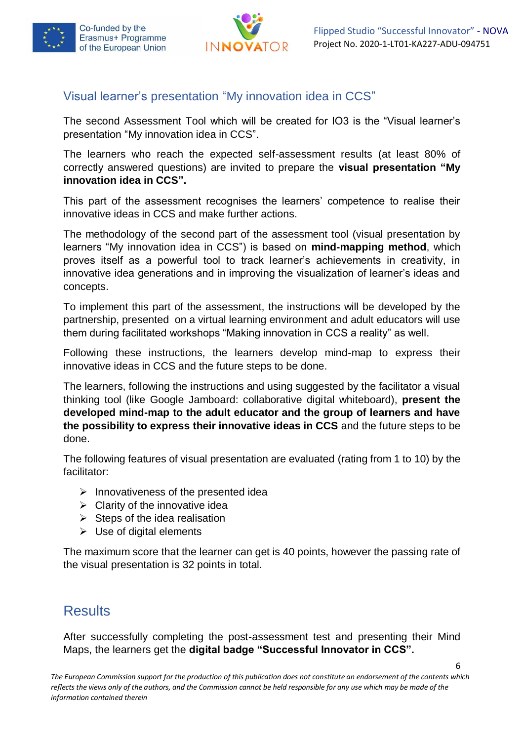



6

#### <span id="page-5-0"></span>Visual learner's presentation "My innovation idea in CCS"

The second Assessment Tool which will be created for IO3 is the "Visual learner's presentation "My innovation idea in CCS".

The learners who reach the expected self-assessment results (at least 80% of correctly answered questions) are invited to prepare the **visual presentation "My innovation idea in CCS".**

This part of the assessment recognises the learners' competence to realise their innovative ideas in CCS and make further actions.

The methodology of the second part of the assessment tool (visual presentation by learners "My innovation idea in CCS") is based on **mind-mapping method**, which proves itself as a powerful tool to track learner's achievements in creativity, in innovative idea generations and in improving the visualization of learner's ideas and concepts.

To implement this part of the assessment, the instructions will be developed by the partnership, presented on a virtual learning environment and adult educators will use them during facilitated workshops "Making innovation in CCS a reality" as well.

Following these instructions, the learners develop mind-map to express their innovative ideas in CCS and the future steps to be done.

The learners, following the instructions and using suggested by the facilitator a visual thinking tool (like Google Jamboard: collaborative digital whiteboard), **present the developed mind-map to the adult educator and the group of learners and have the possibility to express their innovative ideas in CCS** and the future steps to be done.

The following features of visual presentation are evaluated (rating from 1 to 10) by the facilitator:

- $\triangleright$  Innovativeness of the presented idea
- $\triangleright$  Clarity of the innovative idea
- $\triangleright$  Steps of the idea realisation
- $\triangleright$  Use of digital elements

The maximum score that the learner can get is 40 points, however the passing rate of the visual presentation is 32 points in total.

## <span id="page-5-1"></span>**Results**

After successfully completing the post-assessment test and presenting their Mind Maps, the learners get the **digital badge "Successful Innovator in CCS".**